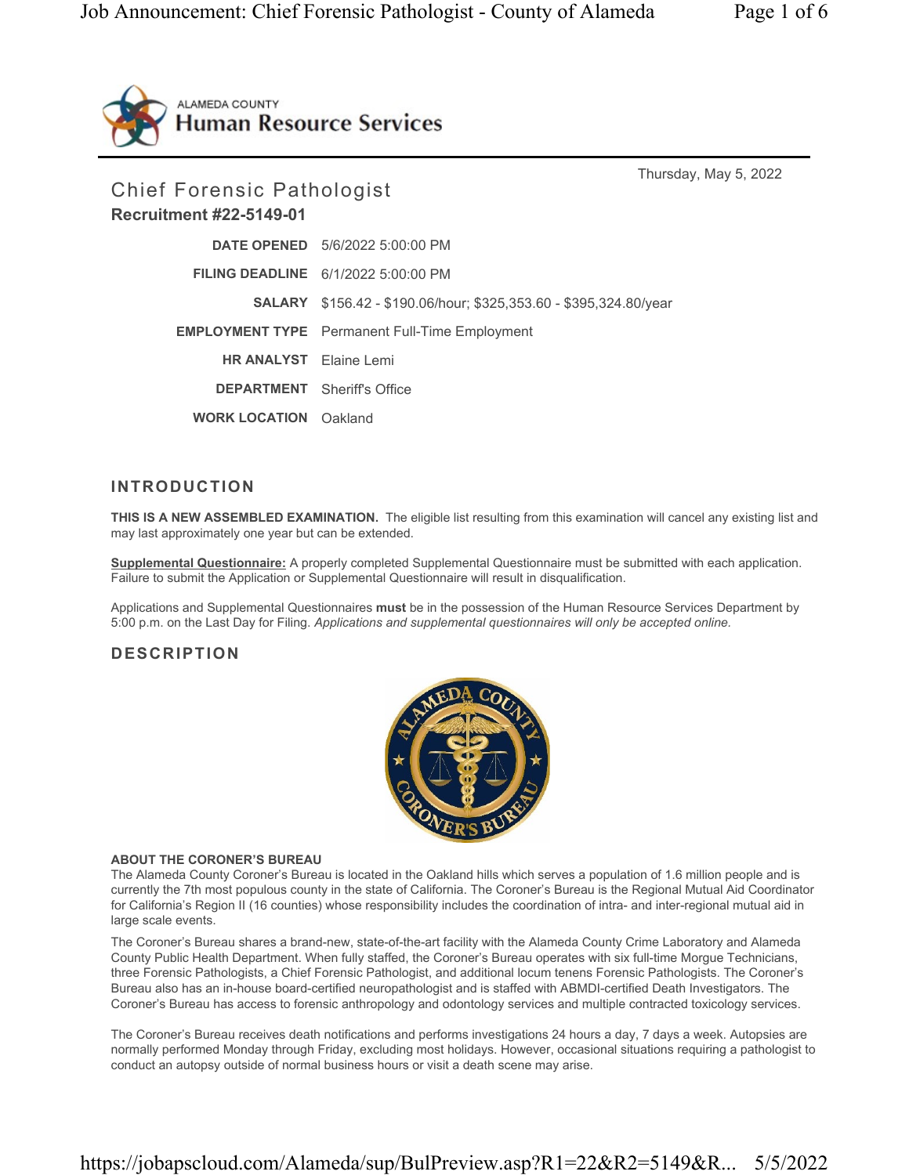

Thursday, May 5, 2022 Chief Forensic Pathologist Recruitment #22-5149-01 DATE OPENED 5/6/2022 5:00:00 PM FILING DEADLINE 6/1/2022 5:00:00 PM SALARY \$156.42 - \$190.06/hour; \$325,353.60 - \$395,324.80/year EMPLOYMENT TYPE Permanent Full-Time Employment HR ANALYST Elaine Lemi DEPARTMENT Sheriff's Office WORK LOCATION Oakland

# INTRODUCTION

THIS IS A NEW ASSEMBLED EXAMINATION. The eligible list resulting from this examination will cancel any existing list and may last approximately one year but can be extended.

Supplemental Questionnaire: A properly completed Supplemental Questionnaire must be submitted with each application. Failure to submit the Application or Supplemental Questionnaire will result in disqualification.

Applications and Supplemental Questionnaires must be in the possession of the Human Resource Services Department by 5:00 p.m. on the Last Day for Filing. Applications and supplemental questionnaires will only be accepted online.

# DESCRIPTION



#### ABOUT THE CORONER'S BUREAU

The Alameda County Coroner's Bureau is located in the Oakland hills which serves a population of 1.6 million people and is currently the 7th most populous county in the state of California. The Coroner's Bureau is the Regional Mutual Aid Coordinator for California's Region II (16 counties) whose responsibility includes the coordination of intra- and inter-regional mutual aid in large scale events.

The Coroner's Bureau shares a brand-new, state-of-the-art facility with the Alameda County Crime Laboratory and Alameda County Public Health Department. When fully staffed, the Coroner's Bureau operates with six full-time Morgue Technicians, three Forensic Pathologists, a Chief Forensic Pathologist, and additional locum tenens Forensic Pathologists. The Coroner's Bureau also has an in-house board-certified neuropathologist and is staffed with ABMDI-certified Death Investigators. The Coroner's Bureau has access to forensic anthropology and odontology services and multiple contracted toxicology services.

The Coroner's Bureau receives death notifications and performs investigations 24 hours a day, 7 days a week. Autopsies are normally performed Monday through Friday, excluding most holidays. However, occasional situations requiring a pathologist to conduct an autopsy outside of normal business hours or visit a death scene may arise.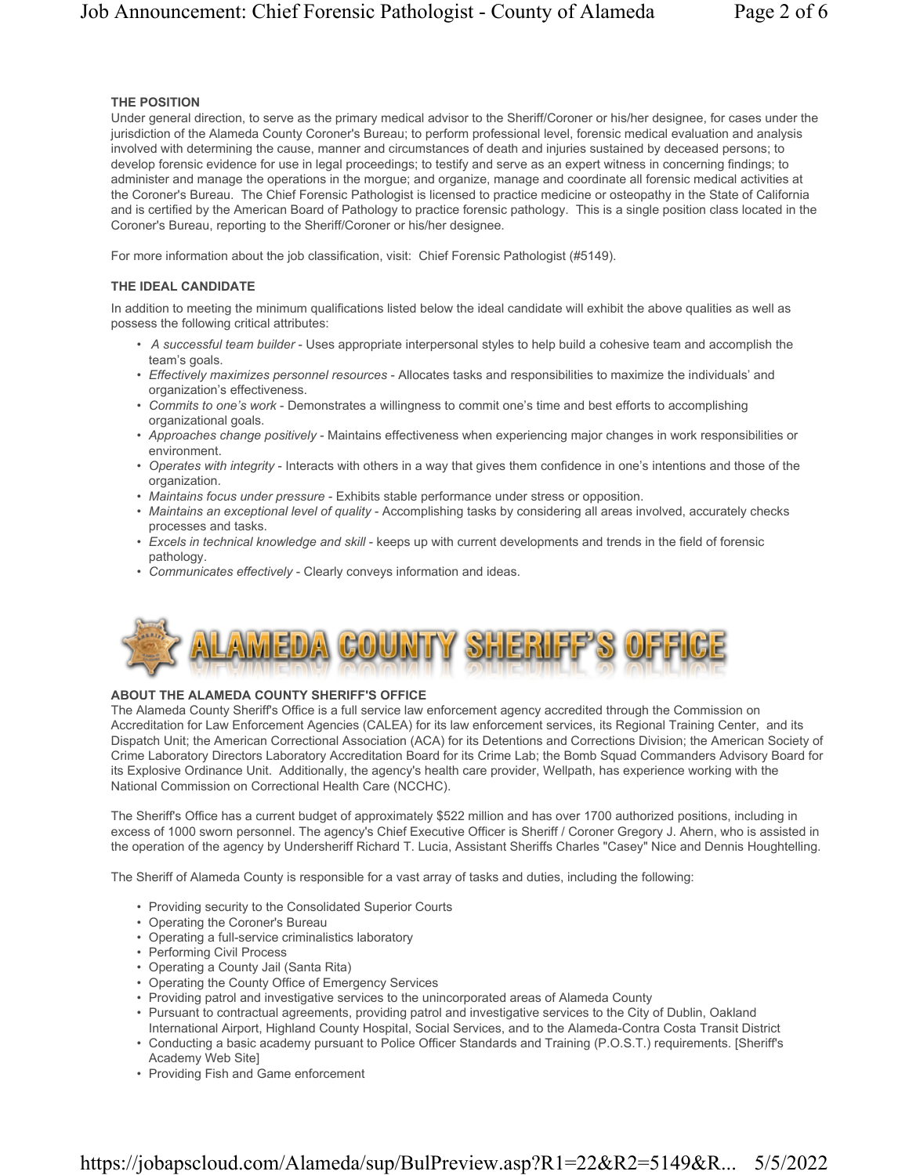## THE POSITION

Under general direction, to serve as the primary medical advisor to the Sheriff/Coroner or his/her designee, for cases under the jurisdiction of the Alameda County Coroner's Bureau; to perform professional level, forensic medical evaluation and analysis involved with determining the cause, manner and circumstances of death and injuries sustained by deceased persons; to develop forensic evidence for use in legal proceedings; to testify and serve as an expert witness in concerning findings; to administer and manage the operations in the morgue; and organize, manage and coordinate all forensic medical activities at the Coroner's Bureau. The Chief Forensic Pathologist is licensed to practice medicine or osteopathy in the State of California and is certified by the American Board of Pathology to practice forensic pathology. This is a single position class located in the Coroner's Bureau, reporting to the Sheriff/Coroner or his/her designee.

For more information about the job classification, visit: Chief Forensic Pathologist (#5149).

#### THE IDEAL CANDIDATE

In addition to meeting the minimum qualifications listed below the ideal candidate will exhibit the above qualities as well as possess the following critical attributes:

- A successful team builder Uses appropriate interpersonal styles to help build a cohesive team and accomplish the team's goals.
- Effectively maximizes personnel resources Allocates tasks and responsibilities to maximize the individuals' and organization's effectiveness.
- Commits to one's work Demonstrates a willingness to commit one's time and best efforts to accomplishing organizational goals.
- Approaches change positively Maintains effectiveness when experiencing major changes in work responsibilities or environment.
- Operates with integrity Interacts with others in a way that gives them confidence in one's intentions and those of the organization.
- Maintains focus under pressure Exhibits stable performance under stress or opposition.
- Maintains an exceptional level of quality Accomplishing tasks by considering all areas involved, accurately checks processes and tasks.
- Excels in technical knowledge and skill keeps up with current developments and trends in the field of forensic pathology.
- Communicates effectively Clearly conveys information and ideas.



#### ABOUT THE ALAMEDA COUNTY SHERIFF'S OFFICE

The Alameda County Sheriff's Office is a full service law enforcement agency accredited through the Commission on Accreditation for Law Enforcement Agencies (CALEA) for its law enforcement services, its Regional Training Center, and its Dispatch Unit; the American Correctional Association (ACA) for its Detentions and Corrections Division; the American Society of Crime Laboratory Directors Laboratory Accreditation Board for its Crime Lab; the Bomb Squad Commanders Advisory Board for its Explosive Ordinance Unit. Additionally, the agency's health care provider, Wellpath, has experience working with the National Commission on Correctional Health Care (NCCHC).

The Sheriff's Office has a current budget of approximately \$522 million and has over 1700 authorized positions, including in excess of 1000 sworn personnel. The agency's Chief Executive Officer is Sheriff / Coroner Gregory J. Ahern, who is assisted in the operation of the agency by Undersheriff Richard T. Lucia, Assistant Sheriffs Charles "Casey" Nice and Dennis Houghtelling.

The Sheriff of Alameda County is responsible for a vast array of tasks and duties, including the following:

- Providing security to the Consolidated Superior Courts
- Operating the Coroner's Bureau
- Operating a full-service criminalistics laboratory
- Performing Civil Process
- Operating a County Jail (Santa Rita)
- Operating the County Office of Emergency Services
- Providing patrol and investigative services to the unincorporated areas of Alameda County
- Pursuant to contractual agreements, providing patrol and investigative services to the City of Dublin, Oakland
- International Airport, Highland County Hospital, Social Services, and to the Alameda-Contra Costa Transit District • Conducting a basic academy pursuant to Police Officer Standards and Training (P.O.S.T.) requirements. [Sheriff's
- Academy Web Site]
- Providing Fish and Game enforcement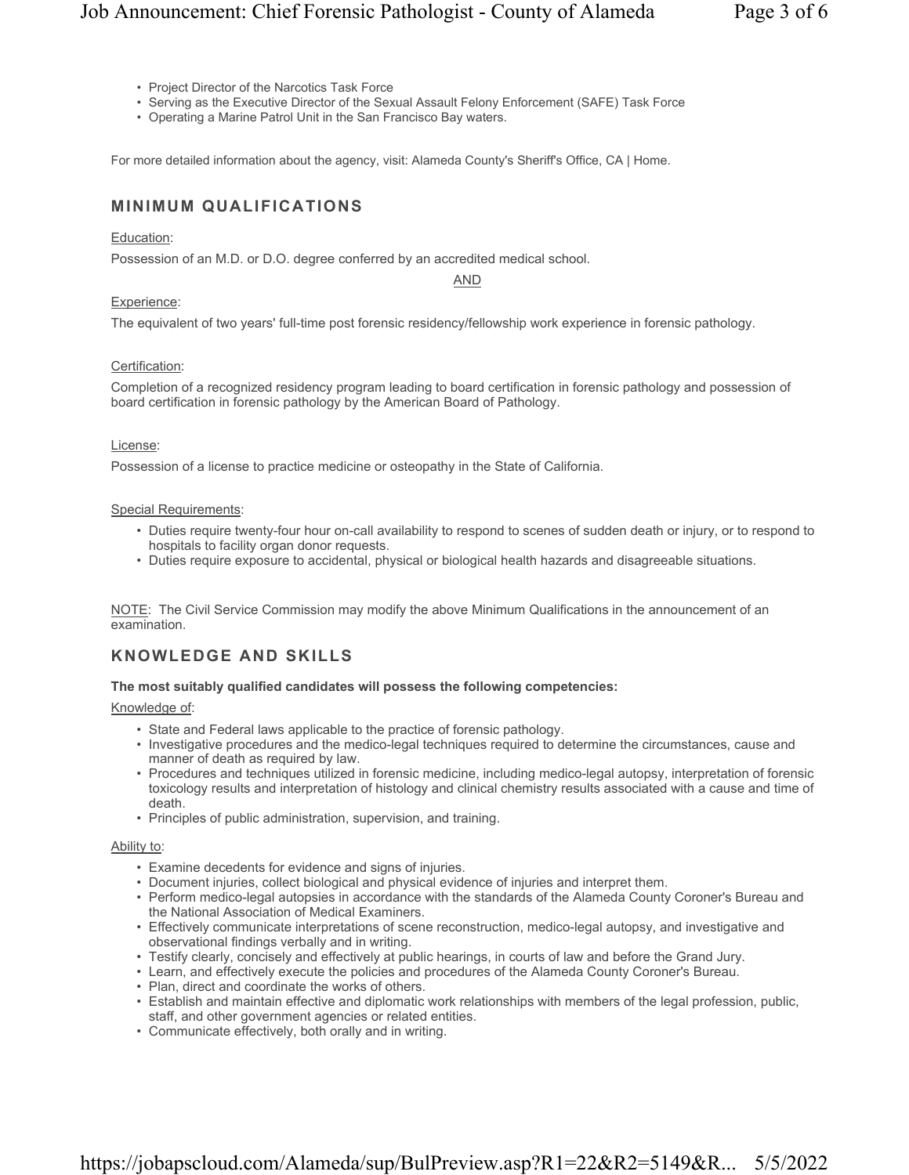- Project Director of the Narcotics Task Force
- Serving as the Executive Director of the Sexual Assault Felony Enforcement (SAFE) Task Force
- Operating a Marine Patrol Unit in the San Francisco Bay waters.

For more detailed information about the agency, visit: Alameda County's Sheriff's Office, CA | Home.

# MINIMUM QUALIFICATIONS

## Education:

Possession of an M.D. or D.O. degree conferred by an accredited medical school.

AND

## Experience:

The equivalent of two years' full-time post forensic residency/fellowship work experience in forensic pathology.

# Certification:

Completion of a recognized residency program leading to board certification in forensic pathology and possession of board certification in forensic pathology by the American Board of Pathology.

#### License:

Possession of a license to practice medicine or osteopathy in the State of California.

#### Special Requirements:

- Duties require twenty-four hour on-call availability to respond to scenes of sudden death or injury, or to respond to hospitals to facility organ donor requests.
- Duties require exposure to accidental, physical or biological health hazards and disagreeable situations.

NOTE: The Civil Service Commission may modify the above Minimum Qualifications in the announcement of an examination.

# KNOWLEDGE AND SKILLS

## The most suitably qualified candidates will possess the following competencies:

#### Knowledge of:

- State and Federal laws applicable to the practice of forensic pathology.
- Investigative procedures and the medico-legal techniques required to determine the circumstances, cause and manner of death as required by law.
- Procedures and techniques utilized in forensic medicine, including medico-legal autopsy, interpretation of forensic toxicology results and interpretation of histology and clinical chemistry results associated with a cause and time of death.
- Principles of public administration, supervision, and training.

#### Ability to:

- Examine decedents for evidence and signs of injuries.
- Document injuries, collect biological and physical evidence of injuries and interpret them.
- Perform medico-legal autopsies in accordance with the standards of the Alameda County Coroner's Bureau and the National Association of Medical Examiners.
- Effectively communicate interpretations of scene reconstruction, medico-legal autopsy, and investigative and observational findings verbally and in writing.
- Testify clearly, concisely and effectively at public hearings, in courts of law and before the Grand Jury.
- Learn, and effectively execute the policies and procedures of the Alameda County Coroner's Bureau.
- Plan, direct and coordinate the works of others.
- Establish and maintain effective and diplomatic work relationships with members of the legal profession, public, staff, and other government agencies or related entities.
- Communicate effectively, both orally and in writing.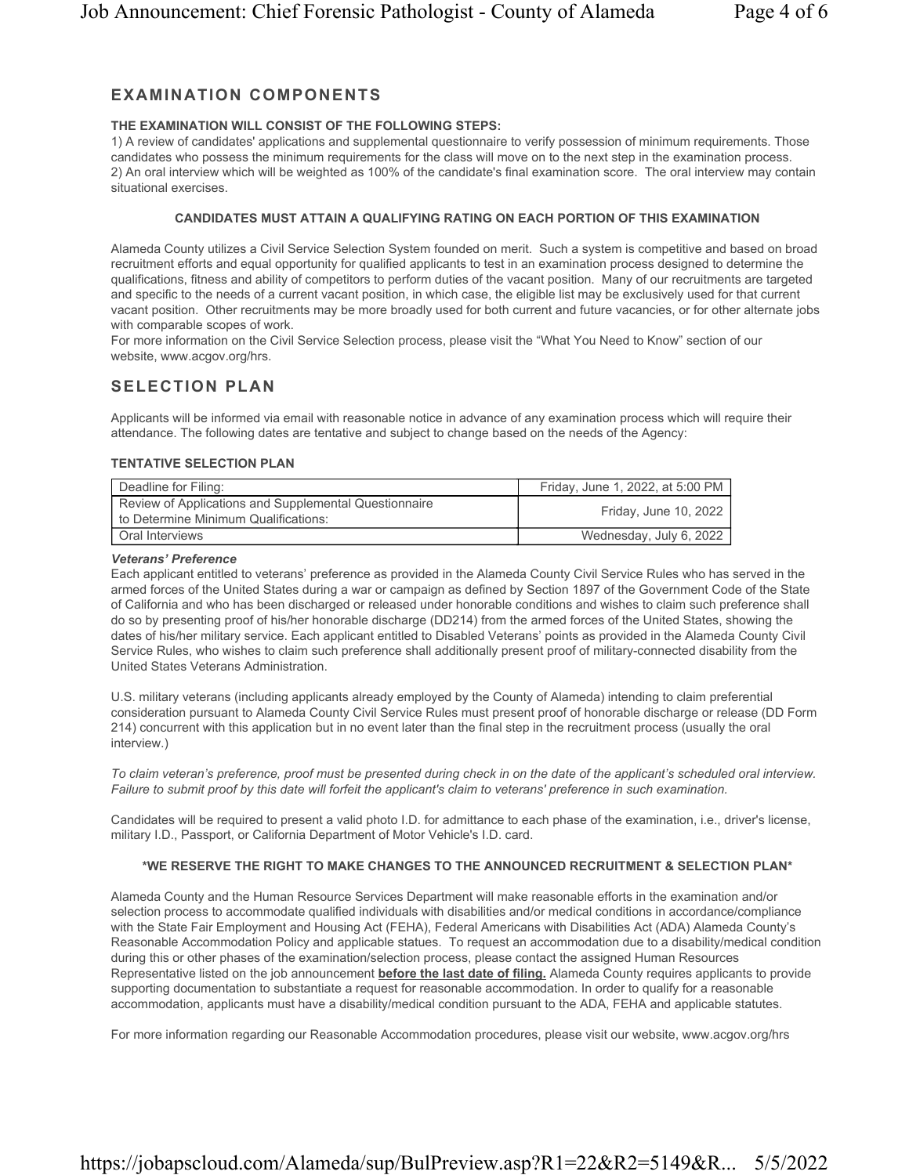# EXAMINATION COMPONENTS

# THE EXAMINATION WILL CONSIST OF THE FOLLOWING STEPS:

1) A review of candidates' applications and supplemental questionnaire to verify possession of minimum requirements. Those candidates who possess the minimum requirements for the class will move on to the next step in the examination process. 2) An oral interview which will be weighted as 100% of the candidate's final examination score. The oral interview may contain situational exercises.

# CANDIDATES MUST ATTAIN A QUALIFYING RATING ON EACH PORTION OF THIS EXAMINATION

Alameda County utilizes a Civil Service Selection System founded on merit. Such a system is competitive and based on broad recruitment efforts and equal opportunity for qualified applicants to test in an examination process designed to determine the qualifications, fitness and ability of competitors to perform duties of the vacant position. Many of our recruitments are targeted and specific to the needs of a current vacant position, in which case, the eligible list may be exclusively used for that current vacant position. Other recruitments may be more broadly used for both current and future vacancies, or for other alternate jobs with comparable scopes of work.

For more information on the Civil Service Selection process, please visit the "What You Need to Know" section of our website, www.acgov.org/hrs.

# SELECTION PLAN

Applicants will be informed via email with reasonable notice in advance of any examination process which will require their attendance. The following dates are tentative and subject to change based on the needs of the Agency:

# TENTATIVE SELECTION PLAN

| Deadline for Filing:                                                                          | Friday, June 1, 2022, at 5:00 PM |
|-----------------------------------------------------------------------------------------------|----------------------------------|
| Review of Applications and Supplemental Questionnaire<br>to Determine Minimum Qualifications: | Friday, June 10, 2022            |
| <b>Oral Interviews</b>                                                                        | Wednesday, July 6, 2022          |

## Veterans' Preference

Each applicant entitled to veterans' preference as provided in the Alameda County Civil Service Rules who has served in the armed forces of the United States during a war or campaign as defined by Section 1897 of the Government Code of the State of California and who has been discharged or released under honorable conditions and wishes to claim such preference shall do so by presenting proof of his/her honorable discharge (DD214) from the armed forces of the United States, showing the dates of his/her military service. Each applicant entitled to Disabled Veterans' points as provided in the Alameda County Civil Service Rules, who wishes to claim such preference shall additionally present proof of military-connected disability from the United States Veterans Administration.

U.S. military veterans (including applicants already employed by the County of Alameda) intending to claim preferential consideration pursuant to Alameda County Civil Service Rules must present proof of honorable discharge or release (DD Form 214) concurrent with this application but in no event later than the final step in the recruitment process (usually the oral interview.)

To claim veteran's preference, proof must be presented during check in on the date of the applicant's scheduled oral interview. Failure to submit proof by this date will forfeit the applicant's claim to veterans' preference in such examination.

Candidates will be required to present a valid photo I.D. for admittance to each phase of the examination, i.e., driver's license, military I.D., Passport, or California Department of Motor Vehicle's I.D. card.

# \*WE RESERVE THE RIGHT TO MAKE CHANGES TO THE ANNOUNCED RECRUITMENT & SELECTION PLAN\*

Alameda County and the Human Resource Services Department will make reasonable efforts in the examination and/or selection process to accommodate qualified individuals with disabilities and/or medical conditions in accordance/compliance with the State Fair Employment and Housing Act (FEHA), Federal Americans with Disabilities Act (ADA) Alameda County's Reasonable Accommodation Policy and applicable statues. To request an accommodation due to a disability/medical condition during this or other phases of the examination/selection process, please contact the assigned Human Resources Representative listed on the job announcement **before the last date of filing.** Alameda County requires applicants to provide supporting documentation to substantiate a request for reasonable accommodation. In order to qualify for a reasonable accommodation, applicants must have a disability/medical condition pursuant to the ADA, FEHA and applicable statutes.

For more information regarding our Reasonable Accommodation procedures, please visit our website, www.acgov.org/hrs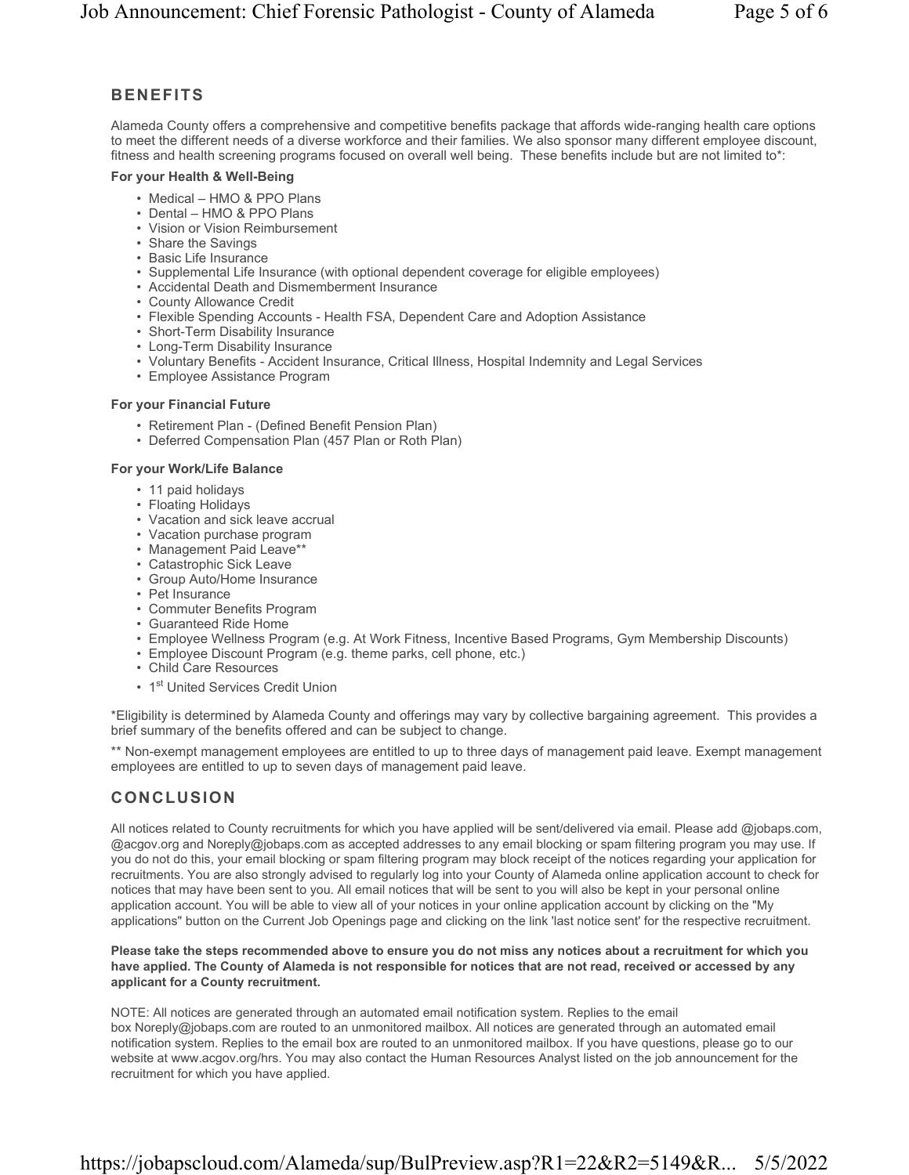# BENEFITS

Alameda County offers a comprehensive and competitive benefits package that affords wide-ranging health care options to meet the different needs of a diverse workforce and their families. We also sponsor many different employee discount, fitness and health screening programs focused on overall well being. These benefits include but are not limited to\*:

## For your Health & Well-Being

- Medical HMO & PPO Plans
- Dental HMO & PPO Plans
- Vision or Vision Reimbursement
- Share the Savings
- Basic Life Insurance
- Supplemental Life Insurance (with optional dependent coverage for eligible employees)
- Accidental Death and Dismemberment Insurance
- County Allowance Credit
- Flexible Spending Accounts Health FSA, Dependent Care and Adoption Assistance
- Short-Term Disability Insurance
- Long-Term Disability Insurance
- Voluntary Benefits Accident Insurance, Critical Illness, Hospital Indemnity and Legal Services
- Employee Assistance Program

## For your Financial Future

- Retirement Plan (Defined Benefit Pension Plan)
- Deferred Compensation Plan (457 Plan or Roth Plan)

## For your Work/Life Balance

- 11 paid holidays
- Floating Holidays
- Vacation and sick leave accrual
- Vacation purchase program
- Management Paid Leave\*\*
- Catastrophic Sick Leave
- Group Auto/Home Insurance
- Pet Insurance
- Commuter Benefits Program
- Guaranteed Ride Home
- Employee Wellness Program (e.g. At Work Fitness, Incentive Based Programs, Gym Membership Discounts)
- Employee Discount Program (e.g. theme parks, cell phone, etc.)
- Child Care Resources
- 1st United Services Credit Union

\*Eligibility is determined by Alameda County and offerings may vary by collective bargaining agreement. This provides a brief summary of the benefits offered and can be subject to change.

\*\* Non-exempt management employees are entitled to up to three days of management paid leave. Exempt management employees are entitled to up to seven days of management paid leave.

# CONCLUSION

All notices related to County recruitments for which you have applied will be sent/delivered via email. Please add @jobaps.com, @acgov.org and Noreply@jobaps.com as accepted addresses to any email blocking or spam filtering program you may use. If you do not do this, your email blocking or spam filtering program may block receipt of the notices regarding your application for recruitments. You are also strongly advised to regularly log into your County of Alameda online application account to check for notices that may have been sent to you. All email notices that will be sent to you will also be kept in your personal online application account. You will be able to view all of your notices in your online application account by clicking on the "My applications" button on the Current Job Openings page and clicking on the link 'last notice sent' for the respective recruitment.

#### Please take the steps recommended above to ensure you do not miss any notices about a recruitment for which you have applied. The County of Alameda is not responsible for notices that are not read, received or accessed by any applicant for a County recruitment.

NOTE: All notices are generated through an automated email notification system. Replies to the email box Noreply@jobaps.com are routed to an unmonitored mailbox. All notices are generated through an automated email notification system. Replies to the email box are routed to an unmonitored mailbox. If you have questions, please go to our website at www.acgov.org/hrs. You may also contact the Human Resources Analyst listed on the job announcement for the recruitment for which you have applied.

# https://jobapscloud.com/Alameda/sup/BulPreview.asp?R1=22&R2=5149&R... 5/5/2022